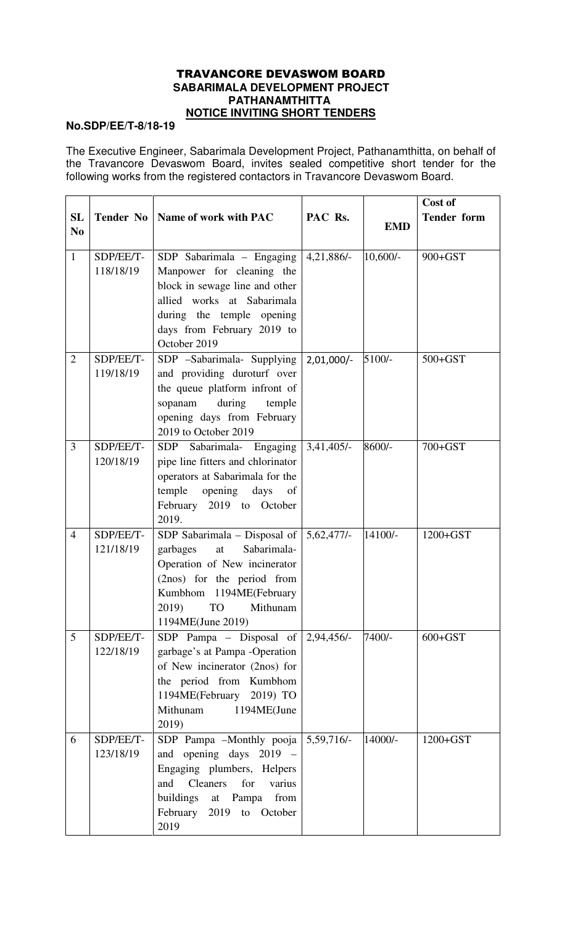## TRAVANCORE DEVASWOM BOARD  **SABARIMALA DEVELOPMENT PROJECT PATHANAMTHITTA NOTICE INVITING SHORT TENDERS**

## **No.SDP/EE/T-8/18-19**

The Executive Engineer, Sabarimala Development Project, Pathanamthitta, on behalf of the Travancore Devaswom Board, invites sealed competitive short tender for the following works from the registered contactors in Travancore Devaswom Board.

|                |                        |                                                                |              |            | Cost of            |
|----------------|------------------------|----------------------------------------------------------------|--------------|------------|--------------------|
| <b>SL</b>      | <b>Tender No</b>       | Name of work with PAC                                          | PAC Rs.      | <b>EMD</b> | <b>Tender form</b> |
| N <sub>0</sub> |                        |                                                                |              |            |                    |
| $\mathbf{1}$   | SDP/EE/T-              | SDP Sabarimala - Engaging                                      | $4,21,886/-$ | $10,600/-$ | 900+GST            |
|                | 118/18/19              | Manpower for cleaning the                                      |              |            |                    |
|                |                        | block in sewage line and other                                 |              |            |                    |
|                |                        | allied works at Sabarimala                                     |              |            |                    |
|                |                        | during the temple opening                                      |              |            |                    |
|                |                        | days from February 2019 to                                     |              |            |                    |
|                |                        | October 2019                                                   |              |            |                    |
| $\overline{2}$ | SDP/EE/T-              | SDP -Sabarimala- Supplying                                     | $2,01,000/-$ | 5100/-     | $500 + GST$        |
|                | 119/18/19              | and providing duroturf over                                    |              |            |                    |
|                |                        | the queue platform infront of                                  |              |            |                    |
|                |                        | during<br>sopanam<br>temple                                    |              |            |                    |
|                |                        | opening days from February<br>2019 to October 2019             |              |            |                    |
| 3              | SDP/EE/T-              | SDP Sabarimala- Engaging                                       | $3,41,405/-$ | 8600/-     | 700+GST            |
|                | 120/18/19              | pipe line fitters and chlorinator                              |              |            |                    |
|                |                        | operators at Sabarimala for the                                |              |            |                    |
|                |                        | temple opening days of                                         |              |            |                    |
|                |                        | February 2019 to October                                       |              |            |                    |
|                |                        | 2019.                                                          |              |            |                    |
| $\overline{4}$ | SDP/EE/T-              | SDP Sabarimala - Disposal of                                   | 5,62,477/    | 14100/-    | $1200 + GST$       |
|                | 121/18/19              | Sabarimala-<br>garbages<br>at                                  |              |            |                    |
|                |                        | Operation of New incinerator                                   |              |            |                    |
|                |                        | (2nos) for the period from                                     |              |            |                    |
|                |                        | Kumbhom 1194ME(February                                        |              |            |                    |
|                |                        | 2019) TO Mithunam                                              |              |            |                    |
|                |                        | 1194ME(June 2019)                                              |              |            |                    |
| 5              | SDP/EE/T-<br>122/18/19 | SDP Pampa – Disposal of $\sqrt{2,94,456/4}$                    |              | 7400/-     | $600 + GST$        |
|                |                        | garbage's at Pampa -Operation<br>of New incinerator (2nos) for |              |            |                    |
|                |                        | the period from Kumbhom                                        |              |            |                    |
|                |                        | 1194ME(February 2019) TO                                       |              |            |                    |
|                |                        | Mithunam<br>1194ME(June                                        |              |            |                    |
|                |                        | 2019)                                                          |              |            |                    |
| 6              | SDP/EE/T-              | SDP Pampa -Monthly pooja 5,59,716/-                            |              | 14000/-    | $1200 + GST$       |
|                | 123/18/19              | and opening days $2019 -$                                      |              |            |                    |
|                |                        | Engaging plumbers, Helpers                                     |              |            |                    |
|                |                        | Cleaners for<br>varius<br>and                                  |              |            |                    |
|                |                        | buildings at Pampa<br>from                                     |              |            |                    |
|                |                        | February 2019 to October                                       |              |            |                    |
|                |                        | 2019                                                           |              |            |                    |